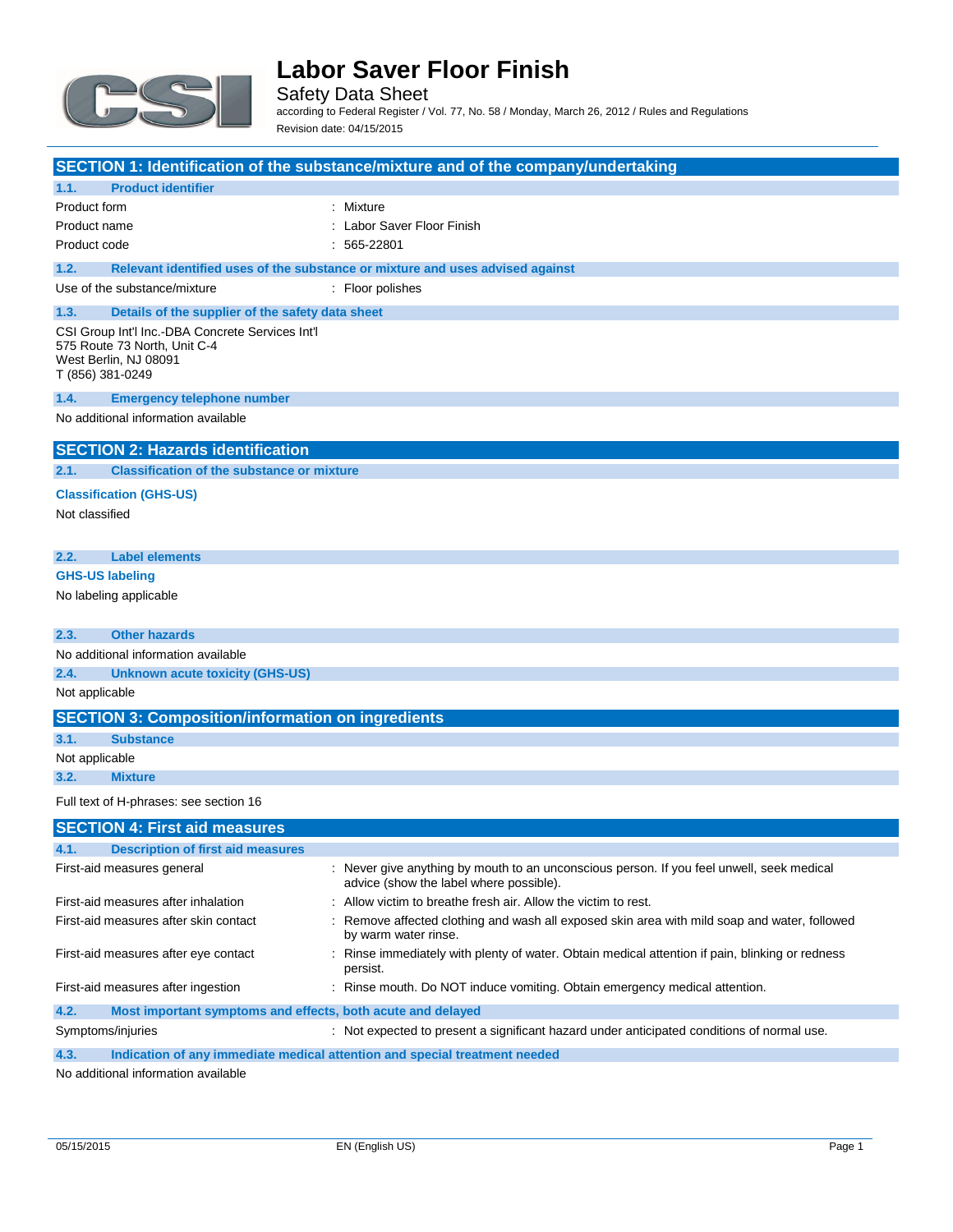

Safety Data Sheet according to Federal Register / Vol. 77, No. 58 / Monday, March 26, 2012 / Rules and Regulations Revision date: 04/15/2015

|                                                                                                                               | SECTION 1: Identification of the substance/mixture and of the company/undertaking                                                    |
|-------------------------------------------------------------------------------------------------------------------------------|--------------------------------------------------------------------------------------------------------------------------------------|
| <b>Product identifier</b><br>1.1.                                                                                             |                                                                                                                                      |
| Product form                                                                                                                  | : Mixture                                                                                                                            |
| Product name                                                                                                                  | : Labor Saver Floor Finish                                                                                                           |
| Product code                                                                                                                  | $: 565-22801$                                                                                                                        |
| 1.2.                                                                                                                          | Relevant identified uses of the substance or mixture and uses advised against                                                        |
| Use of the substance/mixture                                                                                                  | : Floor polishes                                                                                                                     |
| 1.3.<br>Details of the supplier of the safety data sheet                                                                      |                                                                                                                                      |
| CSI Group Int'l Inc.-DBA Concrete Services Int'l<br>575 Route 73 North, Unit C-4<br>West Berlin, NJ 08091<br>T (856) 381-0249 |                                                                                                                                      |
| 1.4.<br><b>Emergency telephone number</b>                                                                                     |                                                                                                                                      |
| No additional information available                                                                                           |                                                                                                                                      |
| <b>SECTION 2: Hazards identification</b>                                                                                      |                                                                                                                                      |
| <b>Classification of the substance or mixture</b><br>2.1.                                                                     |                                                                                                                                      |
| <b>Classification (GHS-US)</b>                                                                                                |                                                                                                                                      |
| Not classified                                                                                                                |                                                                                                                                      |
|                                                                                                                               |                                                                                                                                      |
| <b>Label elements</b><br>2.2.                                                                                                 |                                                                                                                                      |
| <b>GHS-US labeling</b>                                                                                                        |                                                                                                                                      |
| No labeling applicable                                                                                                        |                                                                                                                                      |
|                                                                                                                               |                                                                                                                                      |
| 2.3.<br><b>Other hazards</b>                                                                                                  |                                                                                                                                      |
| No additional information available                                                                                           |                                                                                                                                      |
| 2.4.<br><b>Unknown acute toxicity (GHS-US)</b>                                                                                |                                                                                                                                      |
| Not applicable                                                                                                                |                                                                                                                                      |
| <b>SECTION 3: Composition/information on ingredients</b>                                                                      |                                                                                                                                      |
| 3.1.<br><b>Substance</b>                                                                                                      |                                                                                                                                      |
| Not applicable                                                                                                                |                                                                                                                                      |
| 3.2.<br><b>Mixture</b>                                                                                                        |                                                                                                                                      |
| Full text of H-phrases: see section 16                                                                                        |                                                                                                                                      |
| <b>SECTION 4: First aid measures</b>                                                                                          |                                                                                                                                      |
|                                                                                                                               |                                                                                                                                      |
| 4.1.<br><b>Description of first aid measures</b>                                                                              |                                                                                                                                      |
| First-aid measures general                                                                                                    | : Never give anything by mouth to an unconscious person. If you feel unwell, seek medical<br>advice (show the label where possible). |
| First-aid measures after inhalation                                                                                           | : Allow victim to breathe fresh air. Allow the victim to rest.                                                                       |
| First-aid measures after skin contact                                                                                         | : Remove affected clothing and wash all exposed skin area with mild soap and water, followed<br>by warm water rinse.                 |
| First-aid measures after eye contact                                                                                          | : Rinse immediately with plenty of water. Obtain medical attention if pain, blinking or redness<br>persist.                          |
| First-aid measures after ingestion                                                                                            | : Rinse mouth. Do NOT induce vomiting. Obtain emergency medical attention.                                                           |
| 4.2.<br>Most important symptoms and effects, both acute and delayed                                                           |                                                                                                                                      |
| Symptoms/injuries                                                                                                             | : Not expected to present a significant hazard under anticipated conditions of normal use.                                           |

**4.3. Indication of any immediate medical attention and special treatment needed**

No additional information available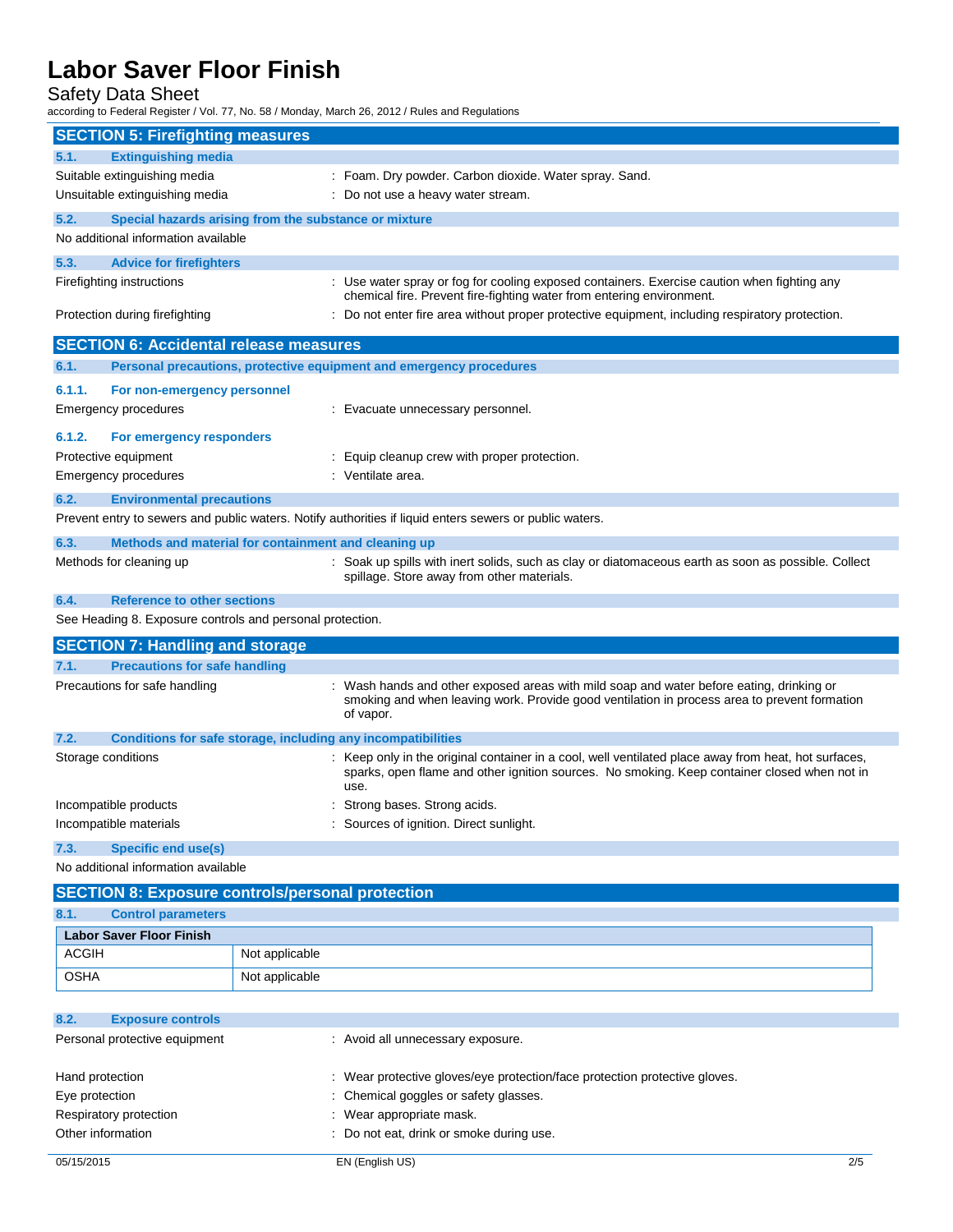Safety Data Sheet

according to Federal Register / Vol. 77, No. 58 / Monday, March 26, 2012 / Rules and Regulations

| <b>SECTION 5: Firefighting measures</b>                   |                                                       |                                                                                                                                                                                                              |
|-----------------------------------------------------------|-------------------------------------------------------|--------------------------------------------------------------------------------------------------------------------------------------------------------------------------------------------------------------|
| <b>Extinguishing media</b><br>5.1.                        |                                                       |                                                                                                                                                                                                              |
| Suitable extinguishing media                              |                                                       | : Foam. Dry powder. Carbon dioxide. Water spray. Sand.                                                                                                                                                       |
| Unsuitable extinguishing media                            |                                                       | : Do not use a heavy water stream.                                                                                                                                                                           |
| 5.2.                                                      | Special hazards arising from the substance or mixture |                                                                                                                                                                                                              |
| No additional information available                       |                                                       |                                                                                                                                                                                                              |
| 5.3.<br><b>Advice for firefighters</b>                    |                                                       |                                                                                                                                                                                                              |
| Firefighting instructions                                 |                                                       | : Use water spray or fog for cooling exposed containers. Exercise caution when fighting any<br>chemical fire. Prevent fire-fighting water from entering environment.                                         |
| Protection during firefighting                            |                                                       | Do not enter fire area without proper protective equipment, including respiratory protection.                                                                                                                |
| <b>SECTION 6: Accidental release measures</b>             |                                                       |                                                                                                                                                                                                              |
| 6.1.                                                      |                                                       | Personal precautions, protective equipment and emergency procedures                                                                                                                                          |
| 6.1.1.<br>For non-emergency personnel                     |                                                       |                                                                                                                                                                                                              |
| Emergency procedures                                      |                                                       | : Evacuate unnecessary personnel.                                                                                                                                                                            |
|                                                           |                                                       |                                                                                                                                                                                                              |
| 6.1.2.<br>For emergency responders                        |                                                       |                                                                                                                                                                                                              |
| Protective equipment                                      |                                                       | Equip cleanup crew with proper protection.<br>: Ventilate area.                                                                                                                                              |
| Emergency procedures                                      |                                                       |                                                                                                                                                                                                              |
| 6.2.<br><b>Environmental precautions</b>                  |                                                       |                                                                                                                                                                                                              |
|                                                           |                                                       | Prevent entry to sewers and public waters. Notify authorities if liquid enters sewers or public waters.                                                                                                      |
| 6.3.                                                      | Methods and material for containment and cleaning up  |                                                                                                                                                                                                              |
| Methods for cleaning up                                   |                                                       | : Soak up spills with inert solids, such as clay or diatomaceous earth as soon as possible. Collect<br>spillage. Store away from other materials.                                                            |
| 6.4.<br><b>Reference to other sections</b>                |                                                       |                                                                                                                                                                                                              |
| See Heading 8. Exposure controls and personal protection. |                                                       |                                                                                                                                                                                                              |
| <b>SECTION 7: Handling and storage</b>                    |                                                       |                                                                                                                                                                                                              |
| <b>Precautions for safe handling</b><br>7.1.              |                                                       |                                                                                                                                                                                                              |
| Precautions for safe handling                             |                                                       | Wash hands and other exposed areas with mild soap and water before eating, drinking or<br>smoking and when leaving work. Provide good ventilation in process area to prevent formation<br>of vapor.          |
| 7.2.                                                      |                                                       | Conditions for safe storage, including any incompatibilities                                                                                                                                                 |
| Storage conditions                                        |                                                       | : Keep only in the original container in a cool, well ventilated place away from heat, hot surfaces,<br>sparks, open flame and other ignition sources. No smoking. Keep container closed when not in<br>use. |
| Incompatible products                                     |                                                       | : Strong bases. Strong acids.                                                                                                                                                                                |
| Incompatible materials                                    |                                                       | : Sources of ignition. Direct sunlight.                                                                                                                                                                      |
| <b>Specific end use(s)</b><br>7.3.                        |                                                       |                                                                                                                                                                                                              |
| No additional information available                       |                                                       |                                                                                                                                                                                                              |
| <b>SECTION 8: Exposure controls/personal protection</b>   |                                                       |                                                                                                                                                                                                              |
| 8.1.<br><b>Control parameters</b>                         |                                                       |                                                                                                                                                                                                              |
| <b>Labor Saver Floor Finish</b>                           |                                                       |                                                                                                                                                                                                              |
| <b>ACGIH</b>                                              | Not applicable                                        |                                                                                                                                                                                                              |
| <b>OSHA</b>                                               | Not applicable                                        |                                                                                                                                                                                                              |

| <b>Exposure controls</b><br>8.2. |                                                                            |     |
|----------------------------------|----------------------------------------------------------------------------|-----|
| Personal protective equipment    | : Avoid all unnecessary exposure.                                          |     |
| Hand protection                  | : Wear protective gloves/eye protection/face protection protective gloves. |     |
| Eye protection                   | : Chemical goggles or safety glasses.                                      |     |
| Respiratory protection           | : Wear appropriate mask.                                                   |     |
| Other information                | : Do not eat, drink or smoke during use.                                   |     |
| 05/15/2015                       | EN (English US)                                                            | 2/5 |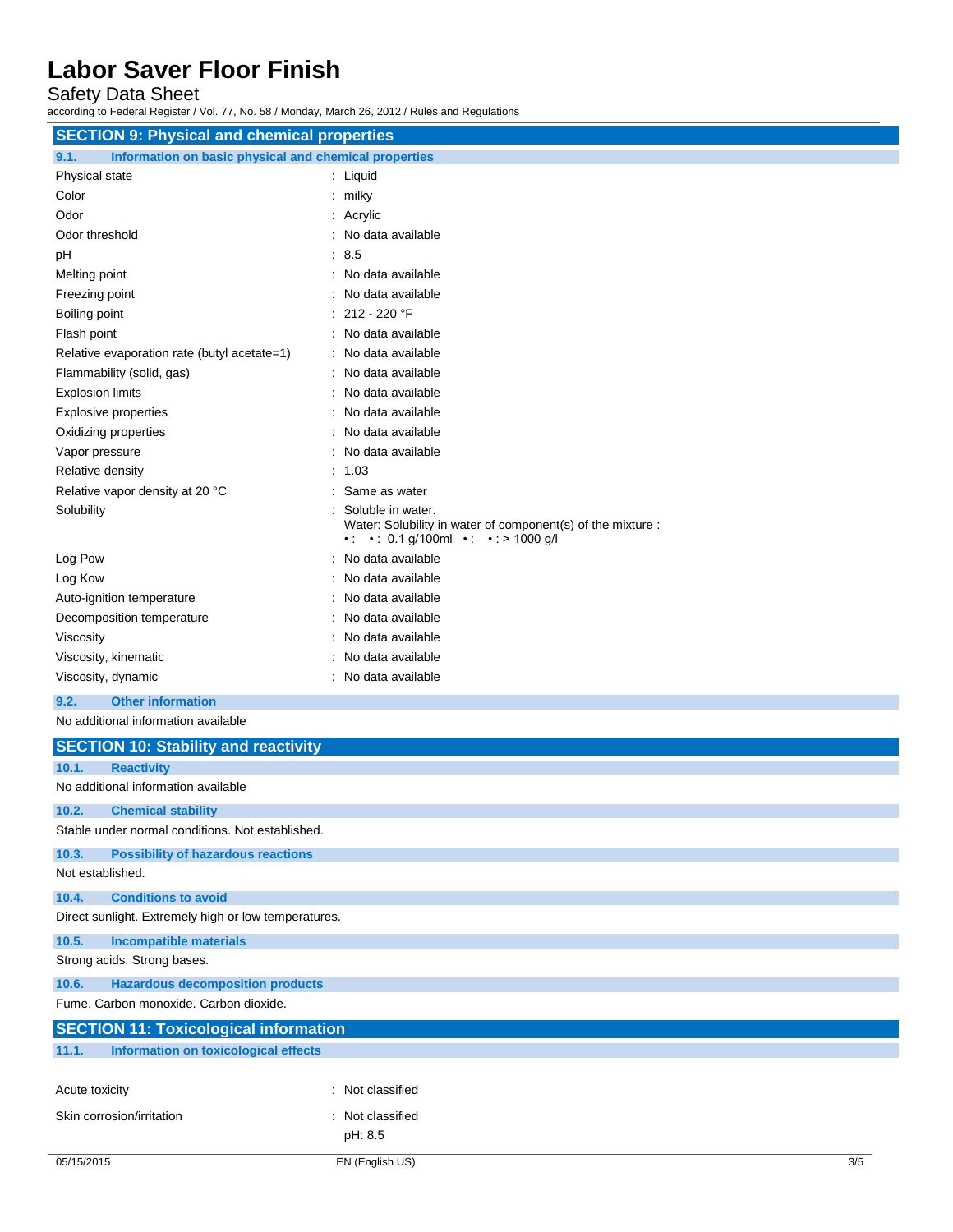Safety Data Sheet

according to Federal Register / Vol. 77, No. 58 / Monday, March 26, 2012 / Rules and Regulations

| <b>SECTION 9: Physical and chemical properties</b>            |                                                                                                                        |  |
|---------------------------------------------------------------|------------------------------------------------------------------------------------------------------------------------|--|
| Information on basic physical and chemical properties<br>9.1. |                                                                                                                        |  |
| Physical state                                                | : Liquid                                                                                                               |  |
| Color                                                         | $:$ milky                                                                                                              |  |
| Odor                                                          | : Acrylic                                                                                                              |  |
| Odor threshold                                                | : No data available                                                                                                    |  |
| pH                                                            | : 8.5                                                                                                                  |  |
| Melting point                                                 | : No data available                                                                                                    |  |
| Freezing point                                                | No data available                                                                                                      |  |
| Boiling point                                                 | $: 212 - 220$ °F                                                                                                       |  |
| Flash point                                                   | : No data available                                                                                                    |  |
| Relative evaporation rate (butyl acetate=1)                   | : No data available                                                                                                    |  |
| Flammability (solid, gas)                                     | No data available                                                                                                      |  |
| <b>Explosion limits</b>                                       | : No data available                                                                                                    |  |
| <b>Explosive properties</b>                                   | : No data available                                                                                                    |  |
| Oxidizing properties                                          | : No data available                                                                                                    |  |
| Vapor pressure                                                | : No data available                                                                                                    |  |
| Relative density                                              | : 1.03                                                                                                                 |  |
| Relative vapor density at 20 °C                               | : Same as water                                                                                                        |  |
| Solubility                                                    | Soluble in water.<br>Water: Solubility in water of component(s) of the mixture :<br>• • • 0.1 g/100ml • • • > 1000 g/l |  |
| Log Pow                                                       | No data available                                                                                                      |  |
| Log Kow                                                       | : No data available                                                                                                    |  |
| Auto-ignition temperature                                     | : No data available                                                                                                    |  |
| Decomposition temperature                                     | : No data available                                                                                                    |  |
| Viscosity                                                     | : No data available                                                                                                    |  |
| Viscosity, kinematic                                          | : No data available                                                                                                    |  |
| Viscosity, dynamic                                            | : No data available                                                                                                    |  |
| <b>Other information</b><br>9.2.                              |                                                                                                                        |  |
| No additional information available                           |                                                                                                                        |  |
| <b>SECTION 10: Stability and reactivity</b>                   |                                                                                                                        |  |
| 10.1.<br><b>Reactivity</b>                                    |                                                                                                                        |  |
| No additional information available                           |                                                                                                                        |  |
| 10.2.<br><b>Chemical stability</b>                            |                                                                                                                        |  |
| Stable under normal conditions. Not established.              |                                                                                                                        |  |
| 10.3.<br><b>Possibility of hazardous reactions</b>            |                                                                                                                        |  |
| Not established.                                              |                                                                                                                        |  |
| <b>Conditions to avoid</b><br>10.4.                           |                                                                                                                        |  |
| Direct sunlight. Extremely high or low temperatures.          |                                                                                                                        |  |
| <b>Incompatible materials</b><br>10.5.                        |                                                                                                                        |  |
| Strong acids. Strong bases.                                   |                                                                                                                        |  |
| <b>Hazardous decomposition products</b><br>10.6.              |                                                                                                                        |  |
| Fume. Carbon monoxide. Carbon dioxide.                        |                                                                                                                        |  |
| <b>SECTION 11: Toxicological information</b>                  |                                                                                                                        |  |

|                | <u> ISECTION TI. TOXICOlOGICAI IIII OMIALIONI</u> |                  |  |
|----------------|---------------------------------------------------|------------------|--|
| 11.1.          | Information on toxicological effects              |                  |  |
|                |                                                   |                  |  |
| Acute toxicity |                                                   | : Not classified |  |
|                | Skin corrosion/irritation                         | Not classified   |  |

pH: 8.5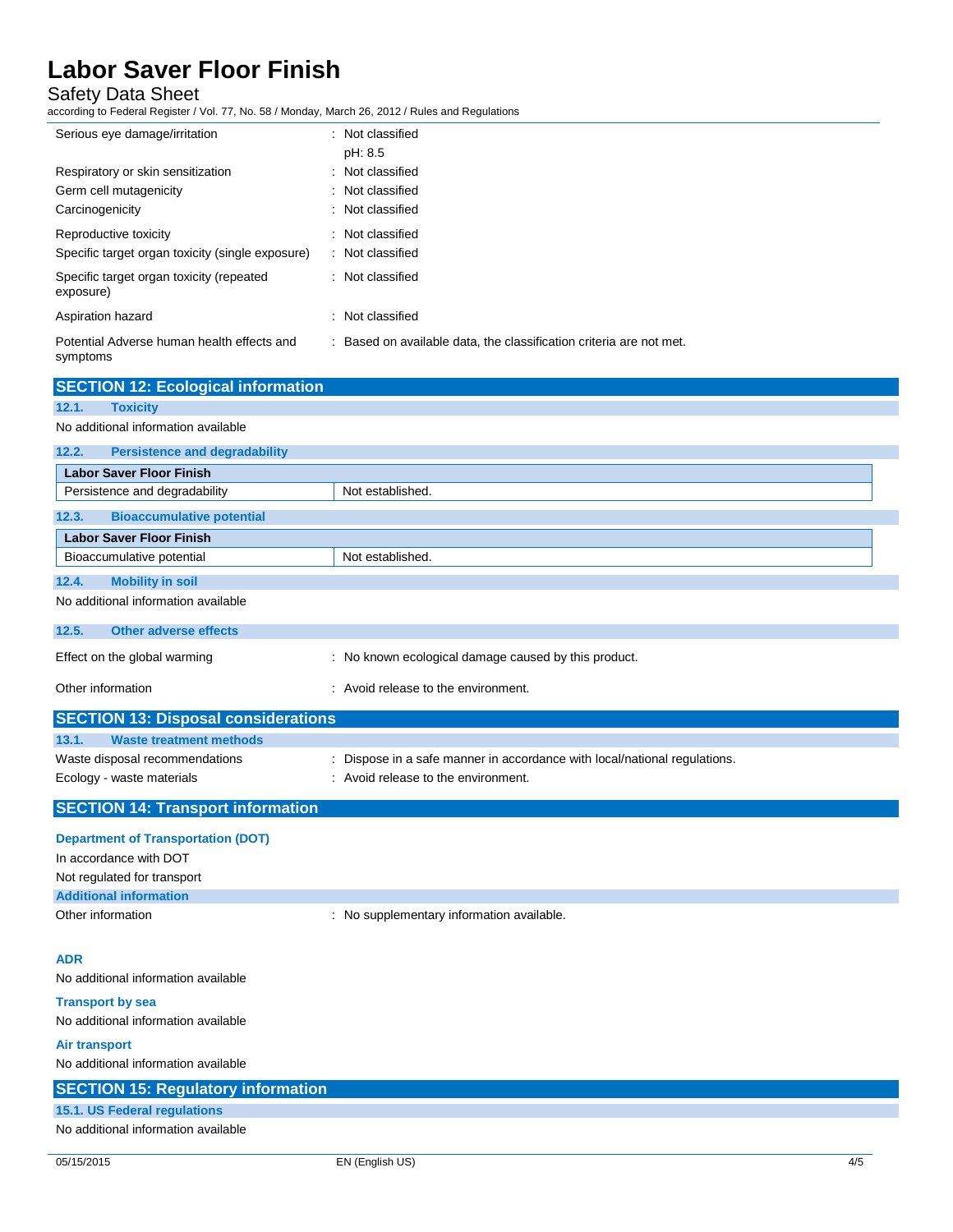### Safety Data Sheet

according to Federal Register / Vol. 77, No. 58 / Monday, March 26, 2012 / Rules and Regulations

| Serious eye damage/irritation                                                  | : Not classified<br>pH: 8.5                                         |
|--------------------------------------------------------------------------------|---------------------------------------------------------------------|
| Respiratory or skin sensitization<br>Germ cell mutagenicity<br>Carcinogenicity | : Not classified<br>: Not classified<br>: Not classified            |
| Reproductive toxicity<br>Specific target organ toxicity (single exposure)      | : Not classified<br>: Not classified                                |
| Specific target organ toxicity (repeated<br>exposure)                          | : Not classified                                                    |
| Aspiration hazard                                                              | : Not classified                                                    |
| Potential Adverse human health effects and<br>symptoms                         | : Based on available data, the classification criteria are not met. |

| <b>SECTION 12: Ecological information</b>     |                                                      |
|-----------------------------------------------|------------------------------------------------------|
| <b>Toxicity</b><br>12.1.                      |                                                      |
| No additional information available           |                                                      |
| <b>Persistence and degradability</b><br>12.2. |                                                      |
| <b>Labor Saver Floor Finish</b>               |                                                      |
| Persistence and degradability                 | Not established.                                     |
| <b>Bioaccumulative potential</b><br>12.3.     |                                                      |
| <b>Labor Saver Floor Finish</b>               |                                                      |
| Bioaccumulative potential                     | Not established.                                     |
| 12.4.<br><b>Mobility in soil</b>              |                                                      |
| No additional information available           |                                                      |
| <b>Other adverse effects</b><br>12.5.         |                                                      |
| Effect on the global warming                  | : No known ecological damage caused by this product. |
| Other information                             | : Avoid release to the environment.                  |
| <b>CECTION</b> 49. Disposed considerations    |                                                      |

| <b>SECTION 13: Disposal considerations</b>                  |                                                                                                                  |
|-------------------------------------------------------------|------------------------------------------------------------------------------------------------------------------|
| 13.1.<br>Waste treatment methods                            |                                                                                                                  |
| Waste disposal recommendations<br>Ecology - waste materials | : Dispose in a safe manner in accordance with local/national regulations.<br>: Avoid release to the environment. |
| <b>SECTION 14: Transport information</b>                    |                                                                                                                  |

| <b>Department of Transportation (DOT)</b> |                                           |
|-------------------------------------------|-------------------------------------------|
| In accordance with DOT                    |                                           |
| Not regulated for transport               |                                           |
| <b>Additional information</b>             |                                           |
| Other information                         | : No supplementary information available. |

### **ADR**

No additional information available

### **Transport by sea** No additional information available

**Air transport**

No additional information available

| <b>SECTION 15: Regulatory information</b> |  |
|-------------------------------------------|--|
| 15.1. US Federal regulations              |  |
| No additional information available       |  |